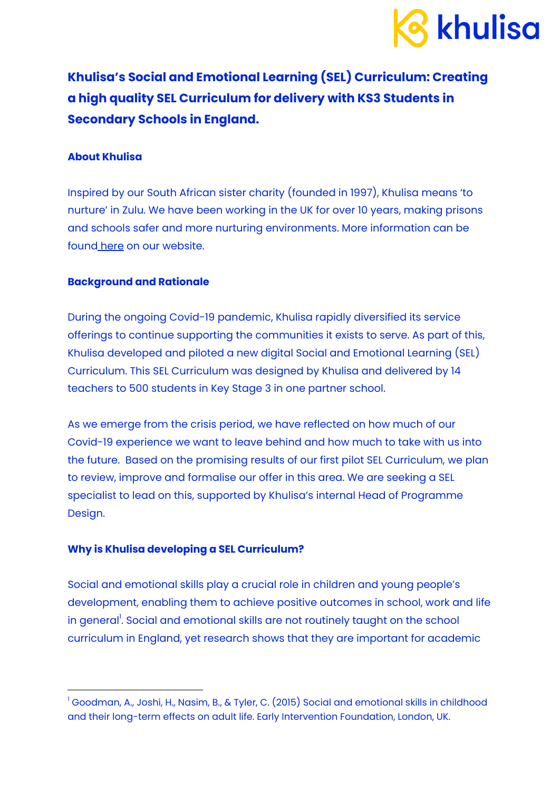

**Khulisa's Social and Emotional Learning (SEL) Curriculum: Creating a high quality SEL Curriculum for delivery with KS3 Students in Secondary Schools in England.**

## **About Khulisa**

Inspired by our South African sister charity (founded in 1997), Khulisa means 'to nurture' in Zulu. We have been working in the UK for over 10 years, making prisons and schools safer and more nurturing environments. More information can be found [here](https://www.khulisa.co.uk/) on our website.

## **Background and Rationale**

During the ongoing Covid-19 pandemic, Khulisa rapidly diversified its service offerings to continue supporting the communities it exists to serve. As part of this, Khulisa developed and piloted a new digital Social and Emotional Learning (SEL) Curriculum. This SEL Curriculum was designed by Khulisa and delivered by 14 teachers to 500 students in Key Stage 3 in one partner school.

As we emerge from the crisis period, we have reflected on how much of our Covid-19 experience we want to leave behind and how much to take with us into the future. Based on the promising results of our first pilot SEL Curriculum, we plan to review, improve and formalise our offer in this area. We are seeking a SEL specialist to lead on this, supported by Khulisa's internal Head of Programme Design.

#### **Why is Khulisa developing a SEL Curriculum?**

Social and emotional skills play a crucial role in children and young people's development, enabling them to achieve positive outcomes in school, work and life in general<sup>!</sup>. Social and emotional skills are not routinely taught on the school curriculum in England, yet research shows that they are important for academic

<sup>&</sup>lt;sup>1</sup> Goodman, A., Joshi, H., Nasim, B., & Tyler, C. (2015) Social and emotional skills in childhood and their long-term effects on adult life. Early Intervention Foundation, London, UK.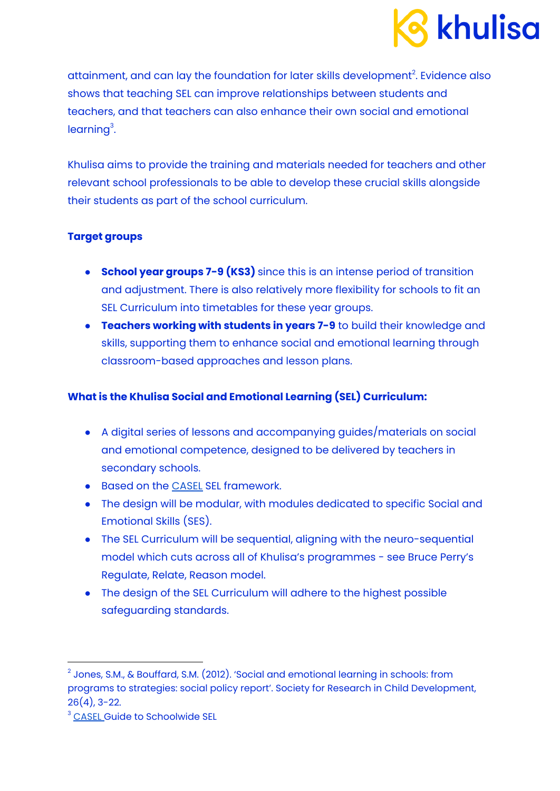

attainment, and can lay the foundation for later skills development $^2$ . Evidence also shows that teaching SEL can improve relationships between students and teachers, and that teachers can also enhance their own social and emotional learning<sup>3</sup>.

Khulisa aims to provide the training and materials needed for teachers and other relevant school professionals to be able to develop these crucial skills alongside their students as part of the school curriculum.

## **Target groups**

- **School year groups 7-9 (KS3)** since this is an intense period of transition and adjustment. There is also relatively more flexibility for schools to fit an SEL Curriculum into timetables for these year groups.
- **Teachers working with students in years 7-9** to build their knowledge and skills, supporting them to enhance social and emotional learning through classroom-based approaches and lesson plans.

# **What is the Khulisa Social and Emotional Learning (SEL) Curriculum:**

- A digital series of lessons and accompanying guides/materials on social and emotional competence, designed to be delivered by teachers in secondary schools.
- Based on the [CASEL](https://casel.org/fundamentals-of-sel/what-is-the-casel-framework/) SEL framework.
- The design will be modular, with modules dedicated to specific Social and Emotional Skills (SES).
- The SEL Curriculum will be sequential, aligning with the neuro-sequential model which cuts across all of Khulisa's programmes - see Bruce Perry's Regulate, Relate, Reason model.
- The design of the SEL Curriculum will adhere to the highest possible safeguarding standards.

 $2$  Jones, S.M., & Bouffard, S.M. (2012). 'Social and emotional learning in schools: from programs to strategies: social policy report'. Society for Research in Child Development, 26(4), 3-22.

<sup>&</sup>lt;sup>3</sup> [CASEL](https://schoolguide.casel.org/focus-area-3/school/adopt-an-evidence-based-program-for-sel/) Guide to Schoolwide SEL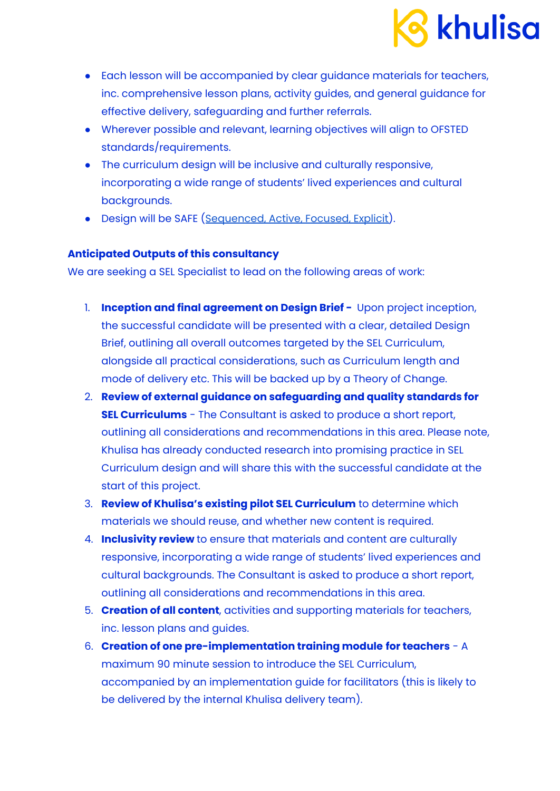

- Each lesson will be accompanied by clear guidance materials for teachers, inc. comprehensive lesson plans, activity guides, and general guidance for effective delivery, safeguarding and further referrals.
- Wherever possible and relevant, learning objectives will align to OFSTED standards/requirements.
- The curriculum design will be inclusive and culturally responsive, incorporating a wide range of students' lived experiences and cultural backgrounds.
- Design will be SAFE ([Sequenced,](https://schoolguide.casel.org/focus-area-3/classroom/explicit-sel-instruction/) Active, Focused, Explicit).

### **Anticipated Outputs of this consultancy**

We are seeking a SEL Specialist to lead on the following areas of work:

- 1. **Inception and final agreement on Design Brief -** Upon project inception, the successful candidate will be presented with a clear, detailed Design Brief, outlining all overall outcomes targeted by the SEL Curriculum, alongside all practical considerations, such as Curriculum length and mode of delivery etc. This will be backed up by a Theory of Change.
- 2. **Review of external guidance on safeguarding and quality standards for SEL Curriculums** - The Consultant is asked to produce a short report, outlining all considerations and recommendations in this area. Please note, Khulisa has already conducted research into promising practice in SEL Curriculum design and will share this with the successful candidate at the start of this project.
- 3. **Review of Khulisa's existing pilot SEL Curriculum** to determine which materials we should reuse, and whether new content is required.
- 4. **Inclusivity review** to ensure that materials and content are culturally responsive, incorporating a wide range of students' lived experiences and cultural backgrounds. The Consultant is asked to produce a short report, outlining all considerations and recommendations in this area.
- 5. **Creation of all content**, activities and supporting materials for teachers, inc. lesson plans and guides.
- 6. **Creation of one pre-implementation training module for teachers** A maximum 90 minute session to introduce the SEL Curriculum, accompanied by an implementation guide for facilitators (this is likely to be delivered by the internal Khulisa delivery team).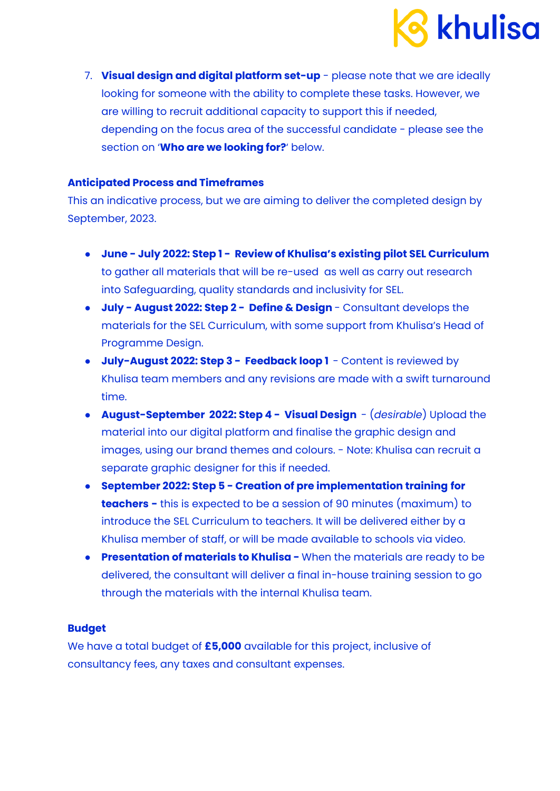

7. **Visual design and digital platform set-up** - please note that we are ideally looking for someone with the ability to complete these tasks. However, we are willing to recruit additional capacity to support this if needed, depending on the focus area of the successful candidate - please see the section on '**Who are we looking for?**' below.

#### **Anticipated Process and Timeframes**

This an indicative process, but we are aiming to deliver the completed design by September, 2023.

- **June - July 2022: Step 1 - Review of Khulisa's existing pilot SEL Curriculum** to gather all materials that will be re-used as well as carry out research into Safeguarding, quality standards and inclusivity for SEL.
- **July - August 2022: Step 2 - Define & Design** Consultant develops the materials for the SEL Curriculum, with some support from Khulisa's Head of Programme Design.
- **July-August 2022: Step 3 - Feedback loop 1** Content is reviewed by Khulisa team members and any revisions are made with a swift turnaround time.
- **August-September 2022: Step 4 - Visual Design** (*desirable*) Upload the material into our digital platform and finalise the graphic design and images, using our brand themes and colours. - Note: Khulisa can recruit a separate graphic designer for this if needed.
- **● September 2022: Step 5 - Creation of pre implementation training for teachers -** this is expected to be a session of 90 minutes (maximum) to introduce the SEL Curriculum to teachers. It will be delivered either by a Khulisa member of staff, or will be made available to schools via video.
- **● Presentation of materials to Khulisa -** When the materials are ready to be delivered, the consultant will deliver a final in-house training session to go through the materials with the internal Khulisa team.

# **Budget**

We have a total budget of **£5,000** available for this project, inclusive of consultancy fees, any taxes and consultant expenses.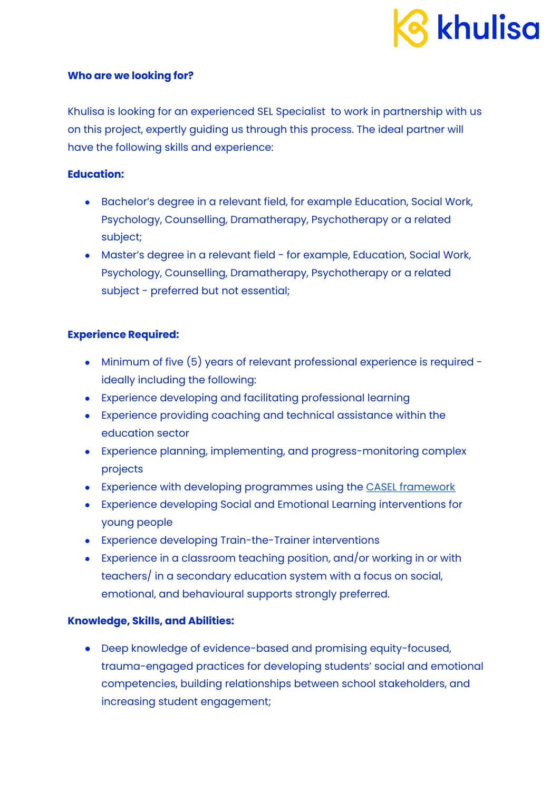

### **Who are we looking for?**

Khulisa is looking for an experienced SEL Specialist to work in partnership with us on this project, expertly guiding us through this process. The ideal partner will have the following skills and experience:

## **Education:**

- Bachelor's degree in a relevant field, for example Education, Social Work, Psychology, Counselling, Dramatherapy, Psychotherapy or a related subject;
- Master's degree in a relevant field for example, Education, Social Work, Psychology, Counselling, Dramatherapy, Psychotherapy or a related subject - preferred but not essential;

## **Experience Required:**

- Minimum of five (5) years of relevant professional experience is required ideally including the following:
- Experience developing and facilitating professional learning
- Experience providing coaching and technical assistance within the education sector
- Experience planning, implementing, and progress-monitoring complex projects
- Experience with developing programmes using the CASEL [framework](https://casel.org/fundamentals-of-sel/what-is-the-casel-framework/)
- Experience developing Social and Emotional Learning interventions for young people
- Experience developing Train-the-Trainer interventions
- **•** Experience in a classroom teaching position, and/or working in or with teachers/ in a secondary education system with a focus on social, emotional, and behavioural supports strongly preferred.

# **Knowledge, Skills, and Abilities:**

● Deep knowledge of evidence-based and promising equity-focused, trauma-engaged practices for developing students' social and emotional competencies, building relationships between school stakeholders, and increasing student engagement;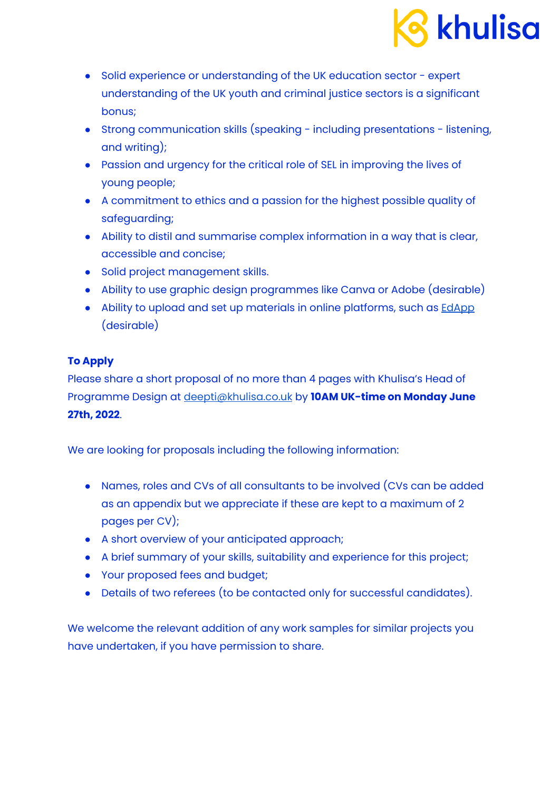

- Solid experience or understanding of the UK education sector expert understanding of the UK youth and criminal justice sectors is a significant bonus;
- Strong communication skills (speaking including presentations listening, and writing);
- Passion and urgency for the critical role of SEL in improving the lives of young people;
- A commitment to ethics and a passion for the highest possible quality of safeguarding;
- Ability to distil and summarise complex information in a way that is clear, accessible and concise;
- Solid project management skills.
- Ability to use graphic design programmes like Canva or Adobe (desirable)
- Ability to upload and set up materials in online platforms, such as **[EdApp](https://www.edapp.com/?utm_medium=ppc&utm_term=edapp&utm_source=adwords&utm_campaign=Search+-+Course+Library&hsa_tgt=kwd-387621968327&hsa_cam=14233735615&hsa_ver=3&hsa_ad=538505776219&hsa_acc=6355972349&hsa_kw=edapp&hsa_grp=125209653549&hsa_net=adwords&hsa_src=g&hsa_mt=b&gclid=Cj0KCQjw-daUBhCIARIsALbkjSZQ8-tLBV_qmOHJoPSU-ihW2h9OYL_KZQJdbAoYQY_Lf9oNNAlHv4kaAt4YEALw_wcB)** (desirable)

# **To Apply**

Please share a short proposal of no more than 4 pages with Khulisa's Head of Programme Design at [deepti@khulisa.co.uk](mailto:deepti@khulisa.co.uk) by **10AM UK-time on Monday June 27th, 2022**.

We are looking for proposals including the following information:

- Names, roles and CVs of all consultants to be involved (CVs can be added as an appendix but we appreciate if these are kept to a maximum of 2 pages per CV);
- A short overview of your anticipated approach;
- A brief summary of your skills, suitability and experience for this project;
- Your proposed fees and budget;
- Details of two referees (to be contacted only for successful candidates).

We welcome the relevant addition of any work samples for similar projects you have undertaken, if you have permission to share.